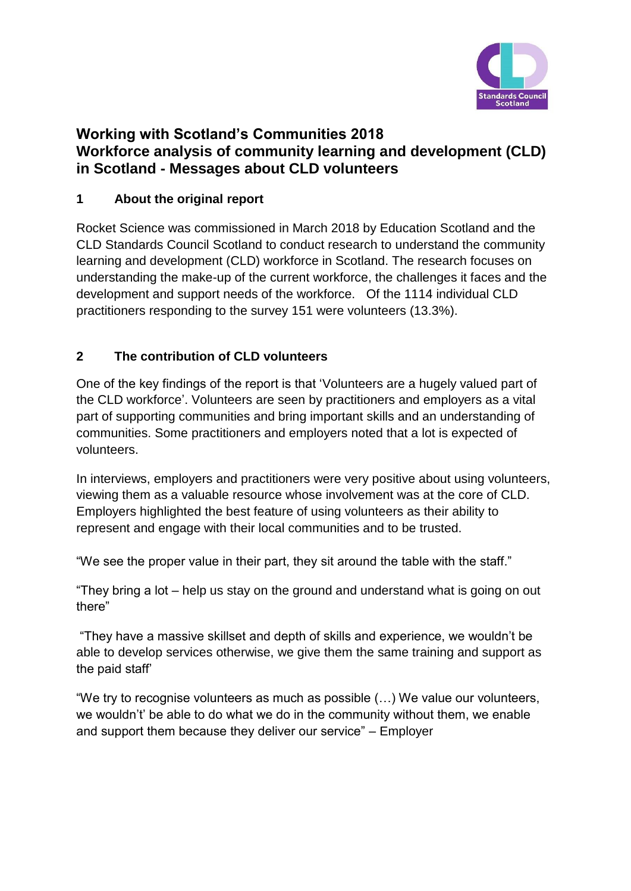

### **Working with Scotland's Communities 2018 Workforce analysis of community learning and development (CLD) in Scotland - Messages about CLD volunteers**

### **1 About the original report**

Rocket Science was commissioned in March 2018 by Education Scotland and the CLD Standards Council Scotland to conduct research to understand the community learning and development (CLD) workforce in Scotland. The research focuses on understanding the make-up of the current workforce, the challenges it faces and the development and support needs of the workforce. Of the 1114 individual CLD practitioners responding to the survey 151 were volunteers (13.3%).

### **2 The contribution of CLD volunteers**

One of the key findings of the report is that 'Volunteers are a hugely valued part of the CLD workforce'. Volunteers are seen by practitioners and employers as a vital part of supporting communities and bring important skills and an understanding of communities. Some practitioners and employers noted that a lot is expected of volunteers.

In interviews, employers and practitioners were very positive about using volunteers, viewing them as a valuable resource whose involvement was at the core of CLD. Employers highlighted the best feature of using volunteers as their ability to represent and engage with their local communities and to be trusted.

"We see the proper value in their part, they sit around the table with the staff."

"They bring a lot – help us stay on the ground and understand what is going on out there"

"They have a massive skillset and depth of skills and experience, we wouldn't be able to develop services otherwise, we give them the same training and support as the paid staff'

"We try to recognise volunteers as much as possible (…) We value our volunteers, we wouldn't' be able to do what we do in the community without them, we enable and support them because they deliver our service" – Employer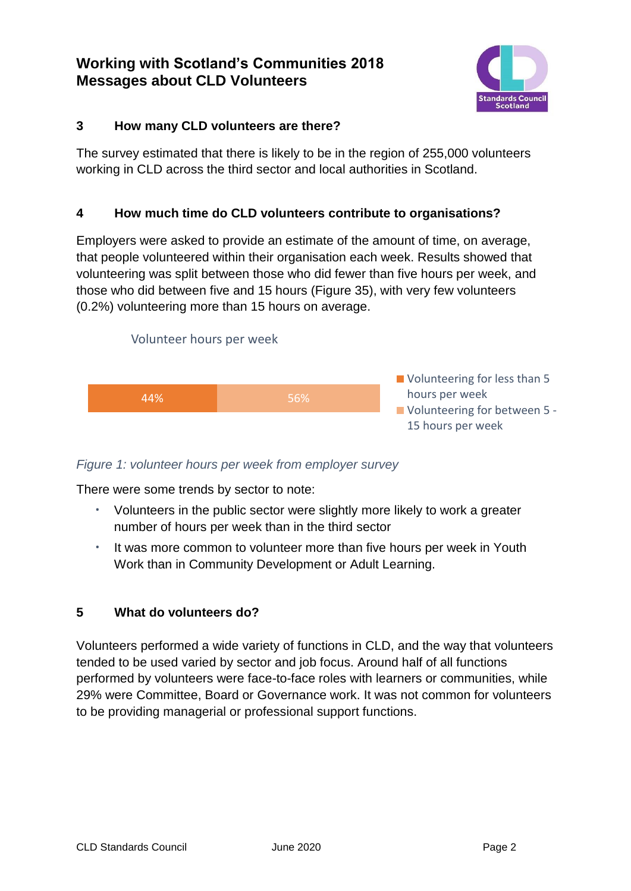### **Working with Scotland's Communities 2018 Messages about CLD Volunteers**



### **3 How many CLD volunteers are there?**

The survey estimated that there is likely to be in the region of 255,000 volunteers working in CLD across the third sector and local authorities in Scotland.

### **4 How much time do CLD volunteers contribute to organisations?**

Employers were asked to provide an estimate of the amount of time, on average, that people volunteered within their organisation each week. Results showed that volunteering was split between those who did fewer than five hours per week, and those who did between five and 15 hours (Figure 35), with very few volunteers (0.2%) volunteering more than 15 hours on average.



#### *Figure 1: volunteer hours per week from employer survey*

There were some trends by sector to note:

- **·** Volunteers in the public sector were slightly more likely to work a greater number of hours per week than in the third sector
- **·** It was more common to volunteer more than five hours per week in Youth Work than in Community Development or Adult Learning.

### **5 What do volunteers do?**

Volunteers performed a wide variety of functions in CLD, and the way that volunteers tended to be used varied by sector and job focus. Around half of all functions performed by volunteers were face-to-face roles with learners or communities, while 29% were Committee, Board or Governance work. It was not common for volunteers to be providing managerial or professional support functions.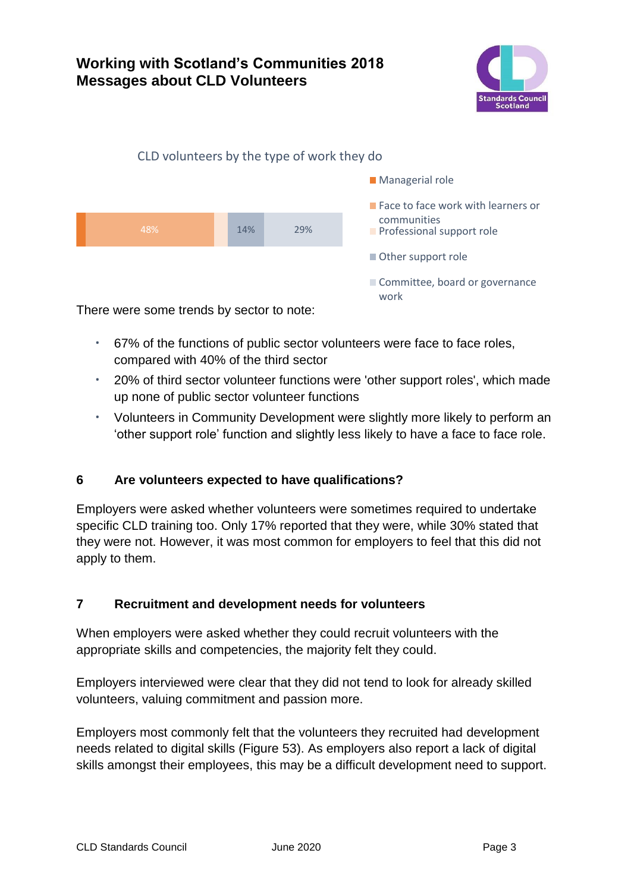### **Working with Scotland's Communities 2018 Messages about CLD Volunteers**



# 48% 14% 29% CLD volunteers by the type of work they do **Managerial role Face to face work with learners or** communities **Professional support role** Other support role Committee, board or governance work

There were some trends by sector to note:

- **·** 67% of the functions of public sector volunteers were face to face roles, compared with 40% of the third sector
- **·** 20% of third sector volunteer functions were 'other support roles', which made up none of public sector volunteer functions
- **·** Volunteers in Community Development were slightly more likely to perform an 'other support role' function and slightly less likely to have a face to face role.

### **6 Are volunteers expected to have qualifications?**

Employers were asked whether volunteers were sometimes required to undertake specific CLD training too. Only 17% reported that they were, while 30% stated that they were not. However, it was most common for employers to feel that this did not apply to them.

### **7 Recruitment and development needs for volunteers**

When employers were asked whether they could recruit volunteers with the appropriate skills and competencies, the majority felt they could.

Employers interviewed were clear that they did not tend to look for already skilled volunteers, valuing commitment and passion more.

Employers most commonly felt that the volunteers they recruited had development needs related to digital skills (Figure 53). As employers also report a lack of digital skills amongst their employees, this may be a difficult development need to support.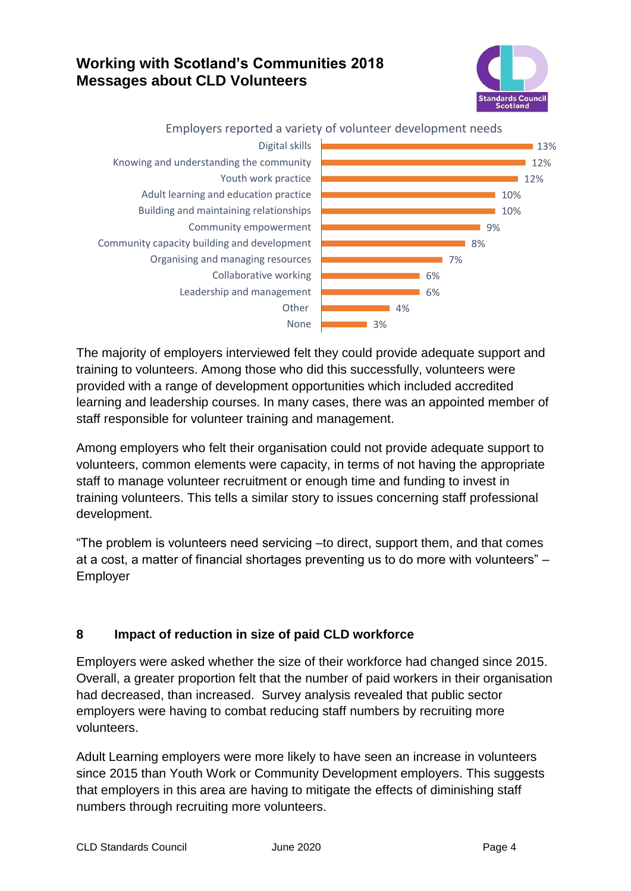## **Working with Scotland's Communities 2018 Messages about CLD Volunteers**





Employers reported a variety of volunteer development needs

The majority of employers interviewed felt they could provide adequate support and training to volunteers. Among those who did this successfully, volunteers were provided with a range of development opportunities which included accredited learning and leadership courses. In many cases, there was an appointed member of staff responsible for volunteer training and management.

Among employers who felt their organisation could not provide adequate support to volunteers, common elements were capacity, in terms of not having the appropriate staff to manage volunteer recruitment or enough time and funding to invest in training volunteers. This tells a similar story to issues concerning staff professional development.

"The problem is volunteers need servicing –to direct, support them, and that comes at a cost, a matter of financial shortages preventing us to do more with volunteers" – Employer

### **8 Impact of reduction in size of paid CLD workforce**

Employers were asked whether the size of their workforce had changed since 2015. Overall, a greater proportion felt that the number of paid workers in their organisation had decreased, than increased. Survey analysis revealed that public sector employers were having to combat reducing staff numbers by recruiting more volunteers.

Adult Learning employers were more likely to have seen an increase in volunteers since 2015 than Youth Work or Community Development employers. This suggests that employers in this area are having to mitigate the effects of diminishing staff numbers through recruiting more volunteers.